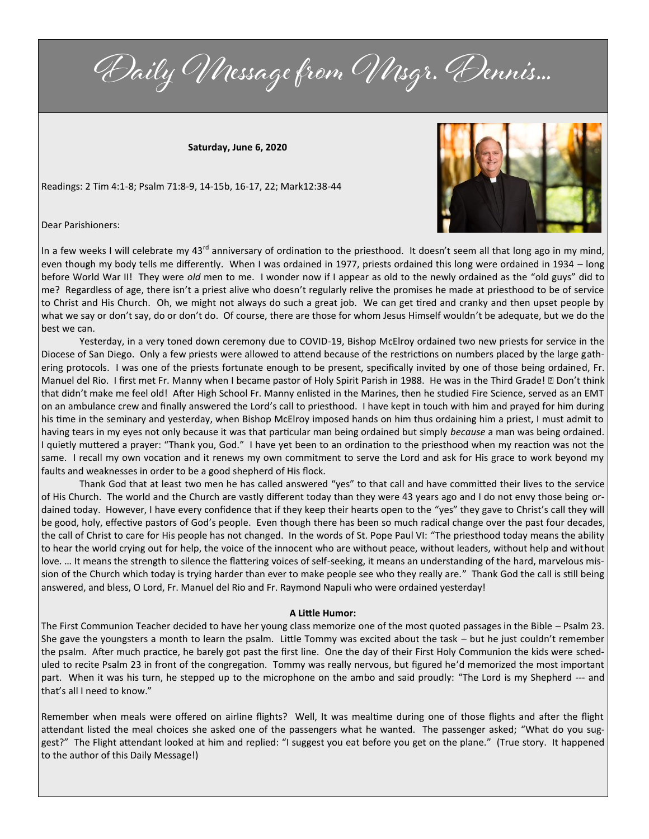Daily Message from Msgr. Dennis...

**Saturday, June 6, 2020**

Readings: 2 Tim 4:1-8; Psalm 71:8-9, 14-15b, 16-17, 22; Mark12:38-44



Dear Parishioners:

In a few weeks I will celebrate my 43<sup>rd</sup> anniversary of ordination to the priesthood. It doesn't seem all that long ago in my mind, even though my body tells me differently. When I was ordained in 1977, priests ordained this long were ordained in 1934 – long before World War II! They were *old* men to me. I wonder now if I appear as old to the newly ordained as the "old guys" did to me? Regardless of age, there isn't a priest alive who doesn't regularly relive the promises he made at priesthood to be of service to Christ and His Church. Oh, we might not always do such a great job. We can get tired and cranky and then upset people by what we say or don't say, do or don't do. Of course, there are those for whom Jesus Himself wouldn't be adequate, but we do the best we can.

Yesterday, in a very toned down ceremony due to COVID-19, Bishop McElroy ordained two new priests for service in the Diocese of San Diego. Only a few priests were allowed to attend because of the restrictions on numbers placed by the large gathering protocols. I was one of the priests fortunate enough to be present, specifically invited by one of those being ordained, Fr. Manuel del Rio. I first met Fr. Manny when I became pastor of Holy Spirit Parish in 1988. He was in the Third Grade! ☹ Don't think that didn't make me feel old! After High School Fr. Manny enlisted in the Marines, then he studied Fire Science, served as an EMT on an ambulance crew and finally answered the Lord's call to priesthood. I have kept in touch with him and prayed for him during his time in the seminary and yesterday, when Bishop McElroy imposed hands on him thus ordaining him a priest, I must admit to having tears in my eyes not only because it was that particular man being ordained but simply *because* a man was being ordained. I quietly muttered a prayer: "Thank you, God." I have yet been to an ordination to the priesthood when my reaction was not the same. I recall my own vocation and it renews my own commitment to serve the Lord and ask for His grace to work beyond my faults and weaknesses in order to be a good shepherd of His flock.

Thank God that at least two men he has called answered "yes" to that call and have committed their lives to the service of His Church. The world and the Church are vastly different today than they were 43 years ago and I do not envy those being ordained today. However, I have every confidence that if they keep their hearts open to the "yes" they gave to Christ's call they will be good, holy, effective pastors of God's people. Even though there has been so much radical change over the past four decades, the call of Christ to care for His people has not changed. In the words of St. Pope Paul VI: "The priesthood today means the ability to hear the world crying out for help, the voice of the innocent who are without peace, without leaders, without help and without love. … It means the strength to silence the flattering voices of self-seeking, it means an understanding of the hard, marvelous mission of the Church which today is trying harder than ever to make people see who they really are." Thank God the call is still being answered, and bless, O Lord, Fr. Manuel del Rio and Fr. Raymond Napuli who were ordained yesterday!

## **A Little Humor:**

The First Communion Teacher decided to have her young class memorize one of the most quoted passages in the Bible – Psalm 23. She gave the youngsters a month to learn the psalm. Little Tommy was excited about the task – but he just couldn't remember the psalm. After much practice, he barely got past the first line. One the day of their First Holy Communion the kids were scheduled to recite Psalm 23 in front of the congregation. Tommy was really nervous, but figured he'd memorized the most important part. When it was his turn, he stepped up to the microphone on the ambo and said proudly: "The Lord is my Shepherd --- and that's all I need to know."

Remember when meals were offered on airline flights? Well, It was mealtime during one of those flights and after the flight attendant listed the meal choices she asked one of the passengers what he wanted. The passenger asked; "What do you suggest?" The Flight attendant looked at him and replied: "I suggest you eat before you get on the plane." (True story. It happened to the author of this Daily Message!)